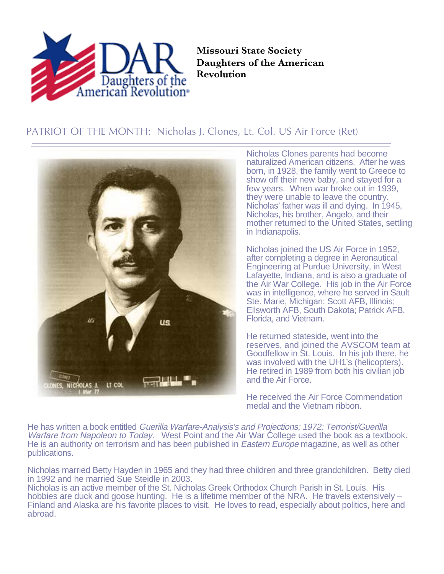

**Missouri State Society Daughters of the American Revolution**

## PATRIOT OF THE MONTH: Nicholas J. Clones, Lt. Col. US Air Force (Ret)



Nicholas Clones parents had become naturalized American citizens. After he was born, in 1928, the family went to Greece to show off their new baby, and stayed for a few years. When war broke out in 1939. they were unable to leave the country. Nicholas' father was ill and dying. In 1945, Nicholas, his brother, Angelo, and their mother returned to the United States, settling in Indianapolis.

Nicholas joined the US Air Force in 1952, after completing a degree in Aeronautical Engineering at Purdue University, in West Lafayette, Indiana, and is also a graduate of the Air War College. His job in the Air Force was in intelligence, where he served in Sault Ste. Marie, Michigan; Scott AFB, Illinois; Ellsworth AFB, South Dakota; Patrick AFB, Florida, and Vietnam.

He returned stateside, went into the reserves, and joined the AVSCOM team at Goodfellow in St. Louis. In his job there, he was involved with the UH1's (helicopters). He retired in 1989 from both his civilian job and the Air Force.

He received the Air Force Commendation medal and the Vietnam ribbon.

He has written a book entitled Guerilla Warfare-Analysis's and Projections; 1972; Terrorist/Guerilla Warfare from Napoleon to Today. West Point and the Air War College used the book as a textbook. He is an authority on terrorism and has been published in *Eastern Europe* magazine, as well as other publications.

Nicholas married Betty Hayden in 1965 and they had three children and three grandchildren. Betty died in 1992 and he married Sue Steidle in 2003.

Nicholas is an active member of the St. Nicholas Greek Orthodox Church Parish in St. Louis. His hobbies are duck and goose hunting. He is a lifetime member of the NRA. He travels extensively – Finland and Alaska are his favorite places to visit. He loves to read, especially about politics, here and abroad.